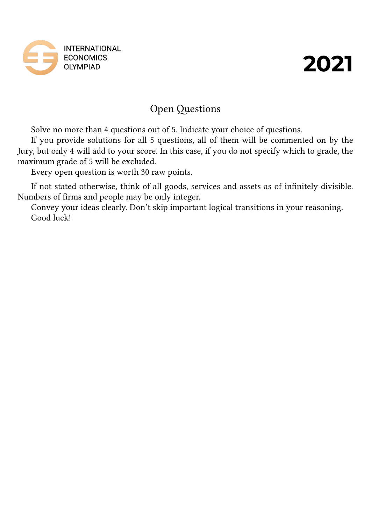

# Open Questions

Solve no more than 4 questions out of 5. Indicate your choice of questions.

If you provide solutions for all 5 questions, all of them will be commented on by the Jury, but only 4 will add to your score. In this case, if you do not specify which to grade, the maximum grade of 5 will be excluded.

Every open question is worth 30 raw points.

If not stated otherwise, think of all goods, services and assets as of infinitely divisible. Numbers of firms and people may be only integer.

Convey your ideas clearly. Don't skip important logical transitions in your reasoning. Good luck!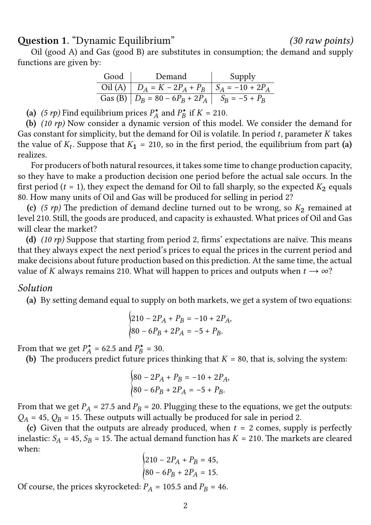**Question 1.** "Dynamic Equilibrium" *(30 raw points)*

Oil (good A) and Gas (good B) are substitutes in consumption; the demand and supply functions are given by:

| Good | Demand                                             | Supply |
|------|----------------------------------------------------|--------|
|      | Oil (A) $D_A = K - 2P_A + P_B$ $S_A = -10 + 2P_A$  |        |
|      | Gas (B) $ D_B = 80 - 6P_B + 2P_A   S_B = -5 + P_B$ |        |

(a) (5 *rp*) Find equilibrium prices  $P_A^{\star}$  $P_A^{\star}$  and  $P_B^{\star}$  $i_B^*$  if  $K = 210$ .

**(b)** *(10 rp)* Now consider a dynamic version of this model. We consider the demand for Gas constant for simplicity, but the demand for Oil is volatile. In period  $t$ , parameter  $K$  takes the value of  $K_t$ . Suppose that  $K_1 = 210$ , so in the first period, the equilibrium from part (a) realizes.

For producers of both natural resources, it takes some time to change production capacity, so they have to make a production decision one period before the actual sale occurs. In the first period ( $t = 1$ ), they expect the demand for Oil to fall sharply, so the expected  $K_2$  equals 80. How many units of Oil and Gas will be produced for selling in period 2?

**(c)** (5 *rp*) The prediction of demand decline turned out to be wrong, so  $K_2$  remained at level 210. Still, the goods are produced, and capacity is exhausted. What prices of Oil and Gas will clear the market?

**(d)** *(10 rp)* Suppose that starting from period 2, firms' expectations are naïve. This means that they always expect the next period's prices to equal the prices in the current period and make decisions about future production based on this prediction. At the same time, the actual value of K always remains 210. What will happen to prices and outputs when  $t \to \infty$ ?

### *Solution*

**(a)** By setting demand equal to supply on both markets, we get a system of two equations:

$$
\begin{cases} 210 - 2P_A + P_B = -10 + 2P_A, \\ 80 - 6P_B + 2P_A = -5 + P_B. \end{cases}
$$

From that we get  $P_{A}^{\star}$  $P_A^{\star}$  = 62.5 and  $P_B^{\star}$  $\sum_{B}^{*} = 30.$ 

(b) The producers predict future prices thinking that  $K = 80$ , that is, solving the system:

$$
\begin{cases} 80 - 2P_A + P_B = -10 + 2P_A, \\ 80 - 6P_B + 2P_A = -5 + P_B. \end{cases}
$$

From that we get  $P_A = 27.5$  and  $P_B = 20$ . Plugging these to the equations, we get the outputs:  $Q_A$  = 45,  $Q_B$  = 15. These outputs will actually be produced for sale in period 2.

(c) Given that the outputs are already produced, when  $t = 2$  comes, supply is perfectly inelastic:  $S_A = 45$ ,  $S_B = 15$ . The actual demand function has  $K = 210$ . The markets are cleared when:

$$
\begin{cases} 210 - 2P_A + P_B = 45, \\ 80 - 6P_B + 2P_A = 15. \end{cases}
$$

Of course, the prices skyrocketed:  $P_A = 105.5$  and  $P_B = 46$ .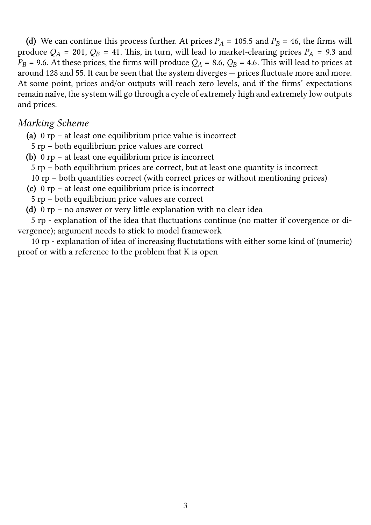(d) We can continue this process further. At prices  $P_A$  = 105.5 and  $P_B$  = 46, the firms will produce  $Q_A$  = 201,  $Q_B$  = 41. This, in turn, will lead to market-clearing prices  $P_A$  = 9.3 and  $P_B$  = 9.6. At these prices, the firms will produce  $Q_A$  = 8.6,  $Q_B$  = 4.6. This will lead to prices at around 128 and 55. It can be seen that the system diverges — prices fluctuate more and more. At some point, prices and/or outputs will reach zero levels, and if the firms' expectations remain naïve, the system will go through a cycle of extremely high and extremely low outputs and prices.

## *Marking Scheme*

- **(a)** 0 rp at least one equilibrium price value is incorrect
- 5 rp both equilibrium price values are correct
- **(b)** 0 rp at least one equilibrium price is incorrect
	- 5 rp both equilibrium prices are correct, but at least one quantity is incorrect
- 10 rp both quantities correct (with correct prices or without mentioning prices)
- **(c)** 0 rp at least one equilibrium price is incorrect
- 5 rp both equilibrium price values are correct
- **(d)** 0 rp no answer or very little explanation with no clear idea

5 rp - explanation of the idea that fluctuations continue (no matter if covergence or divergence); argument needs to stick to model framework

10 rp - explanation of idea of increasing fluctutations with either some kind of (numeric) proof or with a reference to the problem that K is open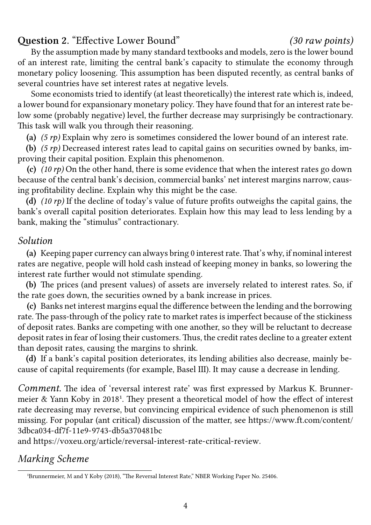# **Question 2.** "Effective Lower Bound" *(30 raw points)*

By the assumption made by many standard textbooks and models, zero is the lower bound of an interest rate, limiting the central bank's capacity to stimulate the economy through monetary policy loosening. This assumption has been disputed recently, as central banks of several countries have set interest rates at negative levels.

Some economists tried to identify (at least theoretically) the interest rate which is, indeed, a lower bound for expansionary monetary policy. They have found that for an interest rate below some (probably negative) level, the further decrease may surprisingly be contractionary. This task will walk you through their reasoning.

**(a)** *(5 rp)* Explain why zero is sometimes considered the lower bound of an interest rate.

**(b)** *(5 rp)* Decreased interest rates lead to capital gains on securities owned by banks, improving their capital position. Explain this phenomenon.

**(c)** *(10 rp)* On the other hand, there is some evidence that when the interest rates go down because of the central bank's decision, commercial banks' net interest margins narrow, causing profitability decline. Explain why this might be the case.

**(d)** *(10 rp)* If the decline of today's value of future profits outweighs the capital gains, the bank's overall capital position deteriorates. Explain how this may lead to less lending by a bank, making the "stimulus" contractionary.

# *Solution*

**(a)** Keeping paper currency can always bring 0 interest rate.That's why, if nominal interest rates are negative, people will hold cash instead of keeping money in banks, so lowering the interest rate further would not stimulate spending.

**(b)** The prices (and present values) of assets are inversely related to interest rates. So, if the rate goes down, the securities owned by a bank increase in prices.

**(c)** Banks net interest margins equal the difference between the lending and the borrowing rate. The pass-through of the policy rate to market rates is imperfect because of the stickiness of deposit rates. Banks are competing with one another, so they will be reluctant to decrease deposit rates in fear of losing their customers. Thus, the credit rates decline to a greater extent than deposit rates, causing the margins to shrink.

**(d)** If a bank's capital position deteriorates, its lending abilities also decrease, mainly because of capital requirements (for example, Basel III). It may cause a decrease in lending.

*Comment.* The idea of 'reversal interest rate' was first expressed by Markus K. Brunnermeier  $&$  Yann Koby in 2018<sup>1</sup>. They present a theoretical model of how the effect of interest rate decreasing may reverse, but convincing empirical evidence of such phenomenon is still missing. For popular (ant critical) discussion of the matter, see https://www.ft.com/content/ 3dbca034-df7f-11e9-9743-d[b5](#page-3-0)a370481bc

and https://voxeu.org/article/reversal-interest-rate-critical-review.

# *[Marking Scheme](https://www.ft.com/content/3dbca034-df7f-11e9-9743-db5a370481bc)*

<span id="page-3-0"></span><sup>&</sup>lt;sup>1</sup>B[runnermeier, M and Y Koby \(2018\), "The Reversal Interest Rate," NBER Working Paper No.](https://voxeu.org/article/reversal-interest-rate-critical-review) 25406.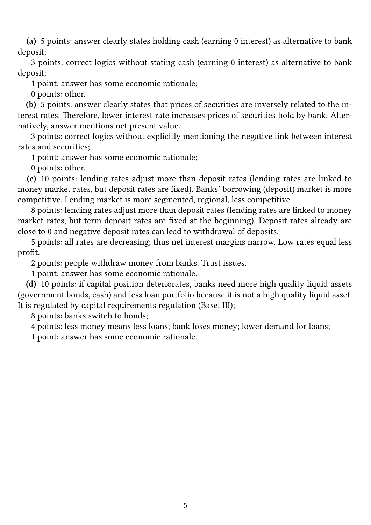**(a)** 5 points: answer clearly states holding cash (earning 0 interest) as alternative to bank deposit;

3 points: correct logics without stating cash (earning 0 interest) as alternative to bank deposit;

1 point: answer has some economic rationale;

0 points: other.

**(b)** 5 points: answer clearly states that prices of securities are inversely related to the interest rates. Therefore, lower interest rate increases prices of securities hold by bank. Alternatively, answer mentions net present value.

3 points: correct logics without explicitly mentioning the negative link between interest rates and securities;

1 point: answer has some economic rationale;

0 points: other.

**(c)** 10 points: lending rates adjust more than deposit rates (lending rates are linked to money market rates, but deposit rates are fixed). Banks' borrowing (deposit) market is more competitive. Lending market is more segmented, regional, less competitive.

8 points: lending rates adjust more than deposit rates (lending rates are linked to money market rates, but term deposit rates are fixed at the beginning). Deposit rates already are close to 0 and negative deposit rates can lead to withdrawal of deposits.

5 points: all rates are decreasing; thus net interest margins narrow. Low rates equal less profit.

2 points: people withdraw money from banks. Trust issues.

1 point: answer has some economic rationale.

**(d)** 10 points: if capital position deteriorates, banks need more high quality liquid assets (government bonds, cash) and less loan portfolio because it is not a high quality liquid asset. It is regulated by capital requirements regulation (Basel III);

8 points: banks switch to bonds;

4 points: less money means less loans; bank loses money; lower demand for loans;

1 point: answer has some economic rationale.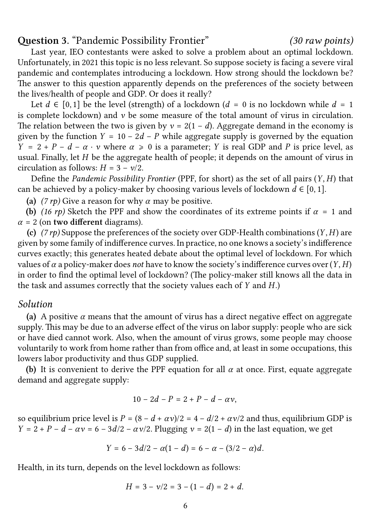## **Question 3.** "Pandemic Possibility Frontier" *(30 raw points)*

Last year, IEO contestants were asked to solve a problem about an optimal lockdown. Unfortunately, in 2021 this topic is no less relevant. So suppose society is facing a severe viral pandemic and contemplates introducing a lockdown. How strong should the lockdown be? The answer to this question apparently depends on the preferences of the society between the lives/health of people and GDP. Or does it really?

Let  $d \in [0, 1]$  be the level (strength) of a lockdown ( $d = 0$  is no lockdown while  $d = 1$ is complete lockdown) and  $\nu$  be some measure of the total amount of virus in circulation. The relation between the two is given by  $v = 2(1 - d)$ . Aggregate demand in the economy is given by the function  $Y = 10 - 2d - P$  while aggregate supply is governed by the equation  $Y = 2 + P - d - \alpha \cdot v$  where  $\alpha \ge 0$  is a parameter; Y is real GDP and P is price level, as usual. Finally, let  $H$  be the aggregate health of people; it depends on the amount of virus in circulation as follows:  $H = 3 - v/2$ .

Define the *Pandemic Possibility Frontier* (PPF, for short) as the set of all pairs (Y, H) that can be achieved by a policy-maker by choosing various levels of lockdown  $d \in [0, 1]$ .

(a)  $(7 \, r p)$  Give a reason for why  $\alpha$  may be positive.

**(b)** (16 rp) Sketch the PPF and show the coordinates of its extreme points if  $\alpha = 1$  and  $\alpha = 2$  (on **two different** diagrams).

**(c)**  $(7rp)$  Suppose the preferences of the society over GDP-Health combinations  $(Y, H)$  are given by some family of indifference curves. In practice, no one knows a society's indifference curves exactly; this generates heated debate about the optimal level of lockdown. For which values of  $\alpha$  a policy-maker does *not* have to know the society's indifference curves over  $(Y, H)$ in order to find the optimal level of lockdown? (The policy-maker still knows all the data in the task and assumes correctly that the society values each of  $Y$  and  $H$ .)

### *Solution*

(a) A positive  $\alpha$  means that the amount of virus has a direct negative effect on aggregate supply. This may be due to an adverse effect of the virus on labor supply: people who are sick or have died cannot work. Also, when the amount of virus grows, some people may choose voluntarily to work from home rather than from office and, at least in some occupations, this lowers labor productivity and thus GDP supplied.

**(b)** It is convenient to derive the PPF equation for all  $\alpha$  at once. First, equate aggregate demand and aggregate supply:

$$
10-2d-P=2+P-d-\alpha\nu,
$$

so equilibrium price level is  $P = (8 - d + \alpha v)/2 = 4 - d/2 + \alpha v/2$  and thus, equilibrium GDP is  $Y = 2 + P - d - \alpha v = 6 - 3d/2 - \alpha v/2$ . Plugging  $v = 2(1 - d)$  in the last equation, we get

$$
Y = 6 - 3d/2 - \alpha(1 - d) = 6 - \alpha - (3/2 - \alpha)d.
$$

Health, in its turn, depends on the level lockdown as follows:

$$
H = 3 - \nu/2 = 3 - (1 - d) = 2 + d.
$$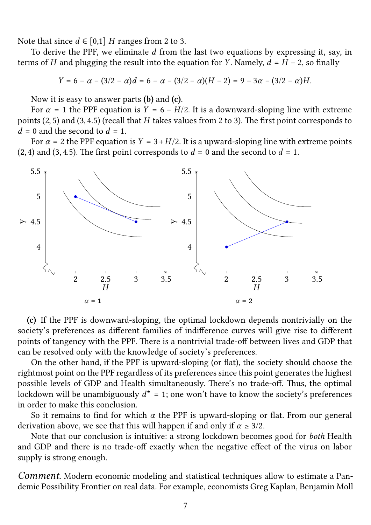Note that since  $d \in [0,1]$  H ranges from 2 to 3.

To derive the PPF, we eliminate  $d$  from the last two equations by expressing it, say, in terms of H and plugging the result into the equation for Y. Namely,  $d = H - 2$ , so finally

$$
Y = 6 - \alpha - (3/2 - \alpha)d = 6 - \alpha - (3/2 - \alpha)(H - 2) = 9 - 3\alpha - (3/2 - \alpha)H.
$$

Now it is easy to answer parts **(b)** and **(c)**.

For  $\alpha = 1$  the PPF equation is  $Y = 6 - H/2$ . It is a downward-sloping line with extreme points  $(2, 5)$  and  $(3, 4.5)$  (recall that H takes values from 2 to 3). The first point corresponds to  $d = 0$  and the second to  $d = 1$ .

For  $\alpha = 2$  the PPF equation is  $Y = 3 + H/2$ . It is a upward-sloping line with extreme points  $(2, 4)$  and  $(3, 4.5)$ . The first point corresponds to  $d = 0$  and the second to  $d = 1$ .



**(c)** If the PPF is downward-sloping, the optimal lockdown depends nontrivially on the society's preferences as different families of indifference curves will give rise to different points of tangency with the PPF. There is a nontrivial trade-off between lives and GDP that can be resolved only with the knowledge of society's preferences.

On the other hand, if the PPF is upward-sloping (or flat), the society should choose the rightmost point on the PPF regardless of its preferences since this point generates the highest possible levels of GDP and Health simultaneously. There's no trade-off. Thus, the optimal lockdown will be unambiguously  $d^{\star} = 1$ ; one won't have to know the society's preferences in order to make this conclusion.

So it remains to find for which  $\alpha$  the PPF is upward-sloping or flat. From our general derivation above, we see that this will happen if and only if  $\alpha \geq 3/2$ .

Note that our conclusion is intuitive: a strong lockdown becomes good for *both* Health and GDP and there is no trade-off exactly when the negative effect of the virus on labor supply is strong enough.

*Comment.* Modern economic modeling and statistical techniques allow to estimate a Pandemic Possibility Frontier on real data. For example, economists Greg Kaplan, Benjamin Moll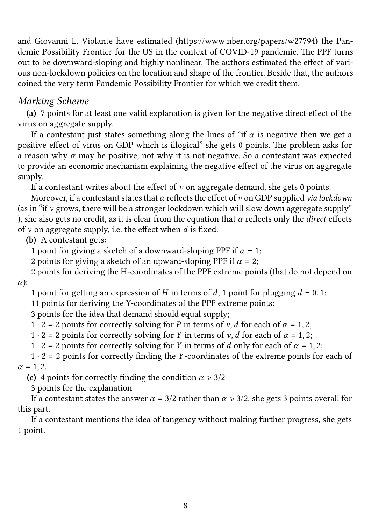and Giovanni L. Violante have estimated (https://www.nber.org/papers/w27794) the Pandemic Possibility Frontier for the US in the context of COVID-19 pandemic. The PPF turns out to be downward-sloping and highly nonlinear. The authors estimated the effect of various non-lockdown policies on the locationa[nd shape of the frontier. Beside that, th](https://www.nber.org/papers/w27794)e authors coined the very term Pandemic Possibility Frontier for which we credit them.

# *Marking Scheme*

**(a)** 7 points for at least one valid explanation is given for the negative direct effect of the virus on aggregate supply.

If a contestant just states something along the lines of "if  $\alpha$  is negative then we get a positive effect of virus on GDP which is illogical" she gets 0 points. The problem asks for a reason why  $\alpha$  may be positive, not why it is not negative. So a contestant was expected to provide an economic mechanism explaining the negative effect of the virus on aggregate supply.

If a contestant writes about the effect of  $\nu$  on aggregate demand, she gets 0 points.

Moreover, if a contestant states that  $\alpha$  reflects the effect of  $\nu$  on GDP supplied *via lockdown* (as in "if  $\nu$  grows, there will be a stronger lockdown which will slow down aggregate supply" ), she also gets no credit, as it is clear from the equation that  $\alpha$  reflects only the *direct* effects of  $v$  on aggregate supply, i.e. the effect when  $d$  is fixed.

**(b)** A contestant gets:

1 point for giving a sketch of a downward-sloping PPF if  $\alpha = 1$ ;

2 points for giving a sketch of an upward-sloping PPF if  $\alpha = 2$ ;

2 points for deriving the H-coordinates of the PPF extreme points (that do not depend on  $\alpha$ :

1 point for getting an expression of *H* in terms of *d*, 1 point for plugging  $d = 0, 1$ ;

11 points for deriving the Y-coordinates of the PPF extreme points:

3 points for the idea that demand should equal supply;

 $1 \cdot 2 = 2$  points for correctly solving for P in terms of v, d for each of  $\alpha = 1, 2$ ;

 $1 \cdot 2 = 2$  points for correctly solving for Y in terms of v, d for each of  $\alpha = 1, 2$ ;

 $1 \cdot 2 = 2$  points for correctly solving for Y in terms of d only for each of  $\alpha = 1, 2$ ;

 $1 \cdot 2 = 2$  points for correctly finding the Y-coordinates of the extreme points for each of  $\alpha = 1, 2.$ 

**(c)** 4 points for correctly finding the condition  $\alpha \ge 3/2$ 

3 points for the explanation

If a contestant states the answer  $\alpha = 3/2$  rather than  $\alpha \ge 3/2$ , she gets 3 points overall for this part.

If a contestant mentions the idea of tangency without making further progress, she gets 1 point.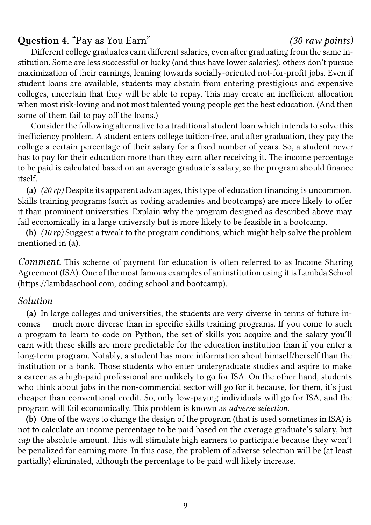## **Question 4.** "Pay as You Earn" *(30 raw points)*

Different college graduates earn different salaries, even after graduating from the same institution. Some are less successful or lucky (and thus have lower salaries); others don't pursue maximization of their earnings, leaning towards socially-oriented not-for-profit jobs. Even if student loans are available, students may abstain from entering prestigious and expensive colleges, uncertain that they will be able to repay. This may create an inefficient allocation when most risk-loving and not most talented young people get the best education. (And then some of them fail to pay off the loans.)

Consider the following alternative to a traditional student loan which intends to solve this inefficiency problem. A student enters college tuition-free, and after graduation, they pay the college a certain percentage of their salary for a fixed number of years. So, a student never has to pay for their education more than they earn after receiving it. The income percentage to be paid is calculated based on an average graduate's salary, so the program should finance itself.

**(a)** *(20 rp)* Despite its apparent advantages, this type of education financing is uncommon. Skills training programs (such as coding academies and bootcamps) are more likely to offer it than prominent universities. Explain why the program designed as described above may fail economically in a large university but is more likely to be feasible in a bootcamp.

**(b)** *(10 rp)* Suggest a tweak to the program conditions, which might help solve the problem mentioned in **(a)**.

*Comment.* This scheme of payment for education is often referred to as Income Sharing Agreement (ISA). One of the most famous examples of an institution using it is Lambda School (https://lambdaschool.com, coding school and bootcamp).

### *Solution*

**(a)** [In large colleges and](https://lambdaschool.com) universities, the students are very diverse in terms of future incomes — much more diverse than in specific skills training programs. If you come to such a program to learn to code on Python, the set of skills you acquire and the salary you'll earn with these skills are more predictable for the education institution than if you enter a long-term program. Notably, a student has more information about himself/herself than the institution or a bank. Those students who enter undergraduate studies and aspire to make a career as a high-paid professional are unlikely to go for ISA. On the other hand, students who think about jobs in the non-commercial sector will go for it because, for them, it's just cheaper than conventional credit. So, only low-paying individuals will go for ISA, and the program will fail economically. This problem is known as *adverse selection*.

**(b)** One of the ways to change the design of the program (that is used sometimes in ISA) is not to calculate an income percentage to be paid based on the average graduate's salary, but *cap* the absolute amount. This will stimulate high earners to participate because they won't be penalized for earning more. In this case, the problem of adverse selection will be (at least partially) eliminated, although the percentage to be paid will likely increase.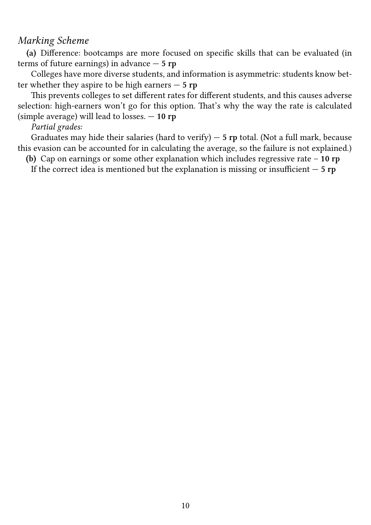# *Marking Scheme*

**(a)** Difference: bootcamps are more focused on specific skills that can be evaluated (in terms of future earnings) in advance — **5 rp**

Colleges have more diverse students, and information is asymmetric: students know better whether they aspire to be high earners — **5 rp**

This prevents colleges to set different rates for different students, and this causes adverse selection: high-earners won't go for this option. That's why the way the rate is calculated (simple average) will lead to losses. — **10 rp**

## *Partial grades:*

Graduates may hide their salaries (hard to verify) — **5 rp** total. (Not a full mark, because this evasion can be accounted for in calculating the average, so the failure is not explained.)

**(b)** Cap on earnings or some other explanation which includes regressive rate – **10 rp**

If the correct idea is mentioned but the explanation is missing or insufficient — **5 rp**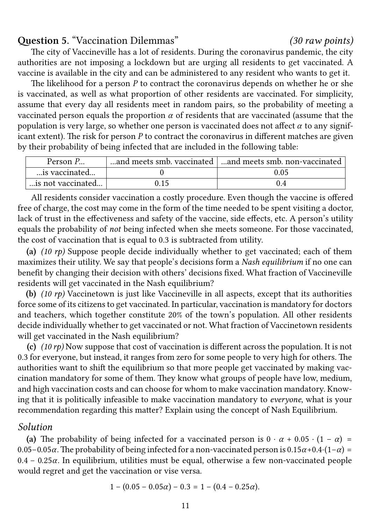## **Question 5.** "Vaccination Dilemmas" *(30 raw points)*

The city of Vaccineville has a lot of residents. During the coronavirus pandemic, the city authorities are not imposing a lockdown but are urging all residents to get vaccinated. A vaccine is available in the city and can be administered to any resident who wants to get it.

The likelihood for a person *P* to contract the coronavirus depends on whether he or she is vaccinated, as well as what proportion of other residents are vaccinated. For simplicity, assume that every day all residents meet in random pairs, so the probability of meeting a vaccinated person equals the proportion  $\alpha$  of residents that are vaccinated (assume that the population is very large, so whether one person is vaccinated does not affect  $\alpha$  to any significant extent). The risk for person *P* to contract the coronavirus in different matches are given by their probability of being infected that are included in the following table:

| Person P          |      | and meets smb. vaccinated   and meets smb. non-vaccinated |
|-------------------|------|-----------------------------------------------------------|
| is vaccinated     |      | 0.05                                                      |
| is not vaccinated | 0.15 | (14)                                                      |

All residents consider vaccination a costly procedure. Even though the vaccine is offered free of charge, the cost may come in the form of the time needed to be spent visiting a doctor, lack of trust in the effectiveness and safety of the vaccine, side effects, etc. A person's utility equals the probability of *not* being infected when she meets someone. For those vaccinated, the cost of vaccination that is equal to 0.3 is subtracted from utility.

**(a)** *(10 rp)* Suppose people decide individually whether to get vaccinated; each of them maximizes their utility. We say that people's decisions form a *Nash equilibrium* if no one can benefit by changing their decision with others' decisions fixed. What fraction of Vaccineville residents will get vaccinated in the Nash equilibrium?

**(b)** *(10 rp)* Vaccinetown is just like Vaccineville in all aspects, except that its authorities force some of its citizens to get vaccinated. In particular, vaccination is mandatory for doctors and teachers, which together constitute 20% of the town's population. All other residents decide individually whether to get vaccinated or not. What fraction of Vaccinetown residents will get vaccinated in the Nash equilibrium?

**(c)** *(10 rp)* Now suppose that cost of vaccination is different across the population. It is not 0.3 for everyone, but instead, it ranges from zero for some people to very high for others. The authorities want to shift the equilibrium so that more people get vaccinated by making vaccination mandatory for some of them. They know what groups of people have low, medium, and high vaccination costs and can choose for whom to make vaccination mandatory. Knowing that it is politically infeasible to make vaccination mandatory to *everyone*, what is your recommendation regarding this matter? Explain using the concept of Nash Equilibrium.

## *Solution*

(a) The probability of being infected for a vaccinated person is  $0 \cdot \alpha + 0.05 \cdot (1 - \alpha) =$ 0.05−0.05 $\alpha$ . The probability of being infected for a non-vaccinated person is 0.15 $\alpha$ +0.4⋅(1− $\alpha$ ) =  $0.4 - 0.25\alpha$ . In equilibrium, utilities must be equal, otherwise a few non-vaccinated people would regret and get the vaccination or vise versa.

$$
1 - (0.05 - 0.05\alpha) - 0.3 = 1 - (0.4 - 0.25\alpha).
$$